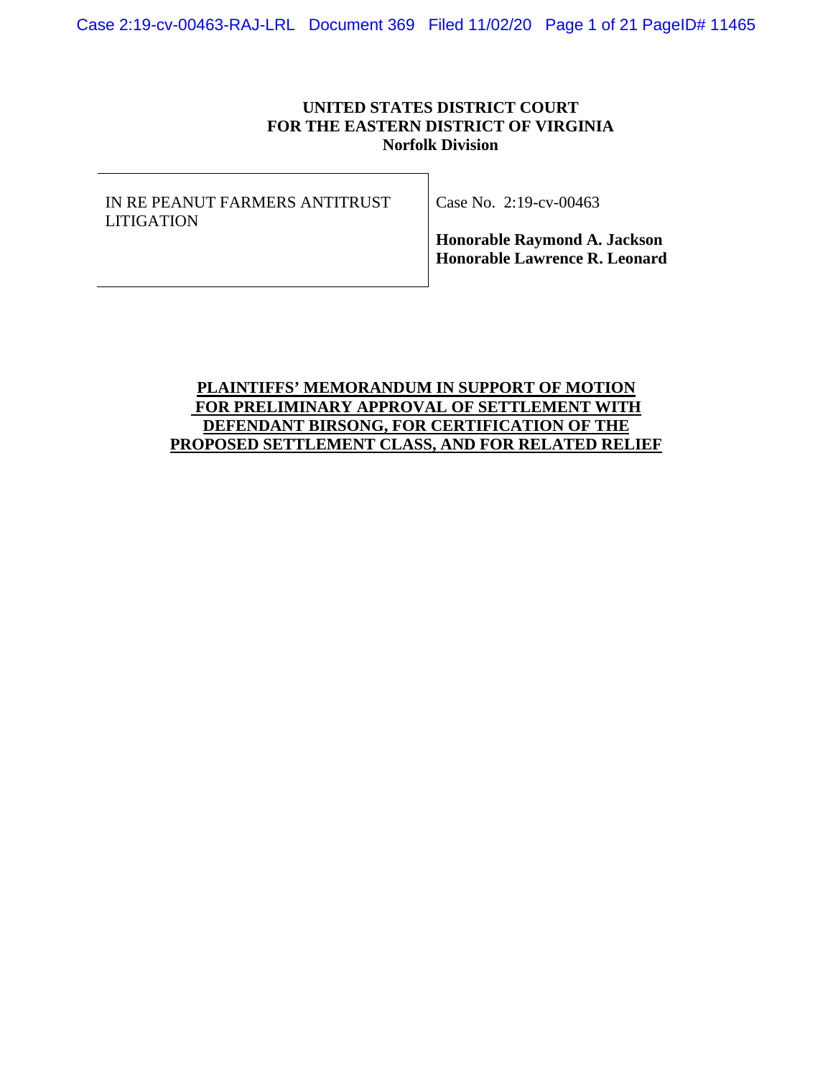## **UNITED STATES DISTRICT COURT FOR THE EASTERN DISTRICT OF VIRGINIA Norfolk Division**

IN RE PEANUT FARMERS ANTITRUST LITIGATION

Case No. 2:19-cv-00463

**Honorable Raymond A. Jackson Honorable Lawrence R. Leonard**

# **PLAINTIFFS' MEMORANDUM IN SUPPORT OF MOTION FOR PRELIMINARY APPROVAL OF SETTLEMENT WITH DEFENDANT BIRSONG, FOR CERTIFICATION OF THE PROPOSED SETTLEMENT CLASS, AND FOR RELATED RELIEF**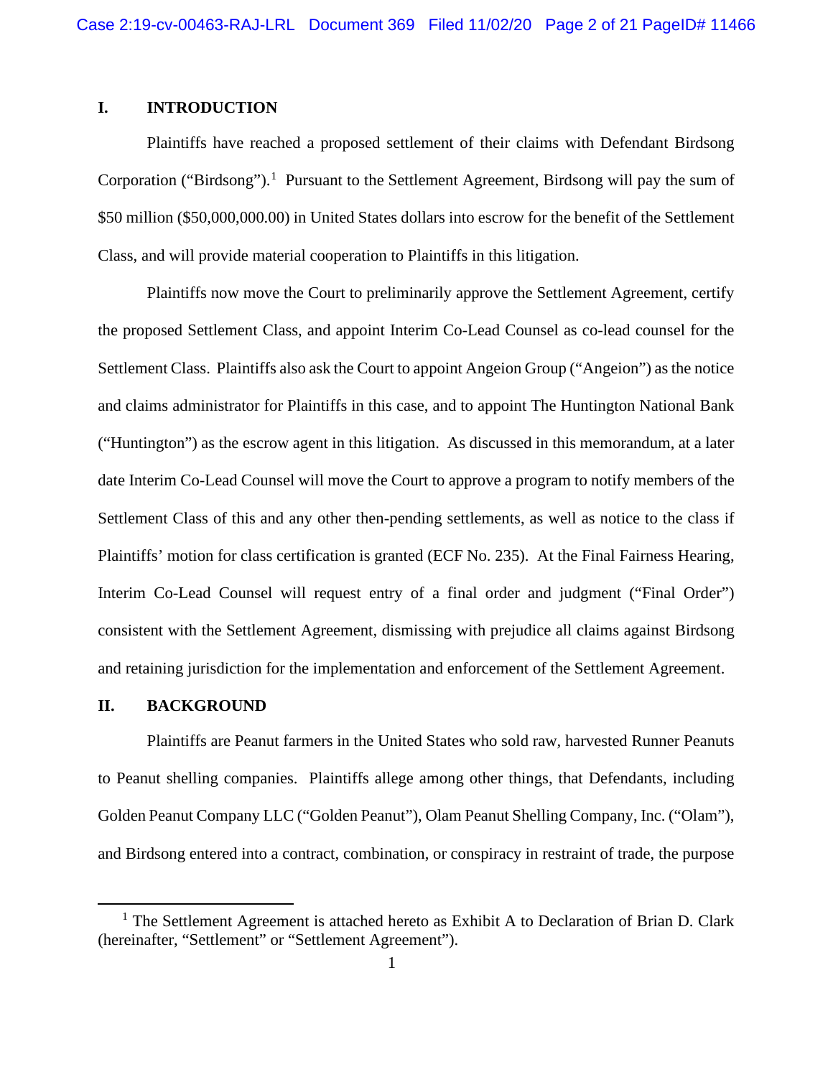# **I. INTRODUCTION**

Plaintiffs have reached a proposed settlement of their claims with Defendant Birdsong Corporation ("Birdsong").<sup>1</sup> Pursuant to the Settlement Agreement, Birdsong will pay the sum of \$50 million (\$50,000,000.00) in United States dollars into escrow for the benefit of the Settlement Class, and will provide material cooperation to Plaintiffs in this litigation.

Plaintiffs now move the Court to preliminarily approve the Settlement Agreement, certify the proposed Settlement Class, and appoint Interim Co-Lead Counsel as co-lead counsel for the Settlement Class. Plaintiffs also ask the Court to appoint Angeion Group ("Angeion") as the notice and claims administrator for Plaintiffs in this case, and to appoint The Huntington National Bank ("Huntington") as the escrow agent in this litigation. As discussed in this memorandum, at a later date Interim Co-Lead Counsel will move the Court to approve a program to notify members of the Settlement Class of this and any other then-pending settlements, as well as notice to the class if Plaintiffs' motion for class certification is granted (ECF No. 235). At the Final Fairness Hearing, Interim Co-Lead Counsel will request entry of a final order and judgment ("Final Order") consistent with the Settlement Agreement, dismissing with prejudice all claims against Birdsong and retaining jurisdiction for the implementation and enforcement of the Settlement Agreement.

### **II. BACKGROUND**

Plaintiffs are Peanut farmers in the United States who sold raw, harvested Runner Peanuts to Peanut shelling companies. Plaintiffs allege among other things, that Defendants, including Golden Peanut Company LLC ("Golden Peanut"), Olam Peanut Shelling Company, Inc. ("Olam"), and Birdsong entered into a contract, combination, or conspiracy in restraint of trade, the purpose

 $<sup>1</sup>$  The Settlement Agreement is attached hereto as Exhibit A to Declaration of Brian D. Clark</sup> (hereinafter, "Settlement" or "Settlement Agreement").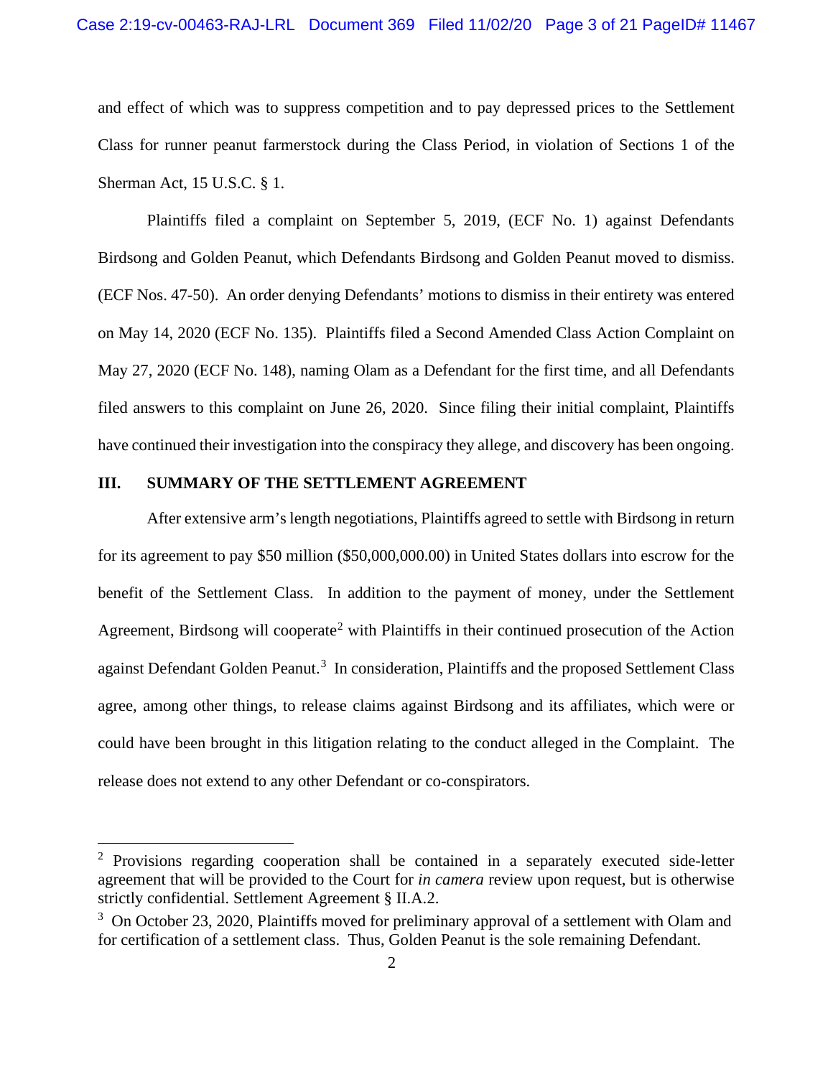and effect of which was to suppress competition and to pay depressed prices to the Settlement Class for runner peanut farmerstock during the Class Period, in violation of Sections 1 of the Sherman Act, 15 U.S.C. § 1.

Plaintiffs filed a complaint on September 5, 2019, (ECF No. 1) against Defendants Birdsong and Golden Peanut, which Defendants Birdsong and Golden Peanut moved to dismiss. (ECF Nos. 47-50). An order denying Defendants' motions to dismiss in their entirety was entered on May 14, 2020 (ECF No. 135). Plaintiffs filed a Second Amended Class Action Complaint on May 27, 2020 (ECF No. 148), naming Olam as a Defendant for the first time, and all Defendants filed answers to this complaint on June 26, 2020. Since filing their initial complaint, Plaintiffs have continued their investigation into the conspiracy they allege, and discovery has been ongoing.

# **III. SUMMARY OF THE SETTLEMENT AGREEMENT**

After extensive arm's length negotiations, Plaintiffs agreed to settle with Birdsong in return for its agreement to pay \$50 million (\$50,000,000.00) in United States dollars into escrow for the benefit of the Settlement Class. In addition to the payment of money, under the Settlement Agreement, Birdsong will cooperate<sup>2</sup> with Plaintiffs in their continued prosecution of the Action against Defendant Golden Peanut.<sup>3</sup> In consideration, Plaintiffs and the proposed Settlement Class agree, among other things, to release claims against Birdsong and its affiliates, which were or could have been brought in this litigation relating to the conduct alleged in the Complaint. The release does not extend to any other Defendant or co-conspirators.

 $2$  Provisions regarding cooperation shall be contained in a separately executed side-letter agreement that will be provided to the Court for *in camera* review upon request, but is otherwise strictly confidential. Settlement Agreement § II.A.2.

<sup>&</sup>lt;sup>3</sup> On October 23, 2020, Plaintiffs moved for preliminary approval of a settlement with Olam and for certification of a settlement class. Thus, Golden Peanut is the sole remaining Defendant.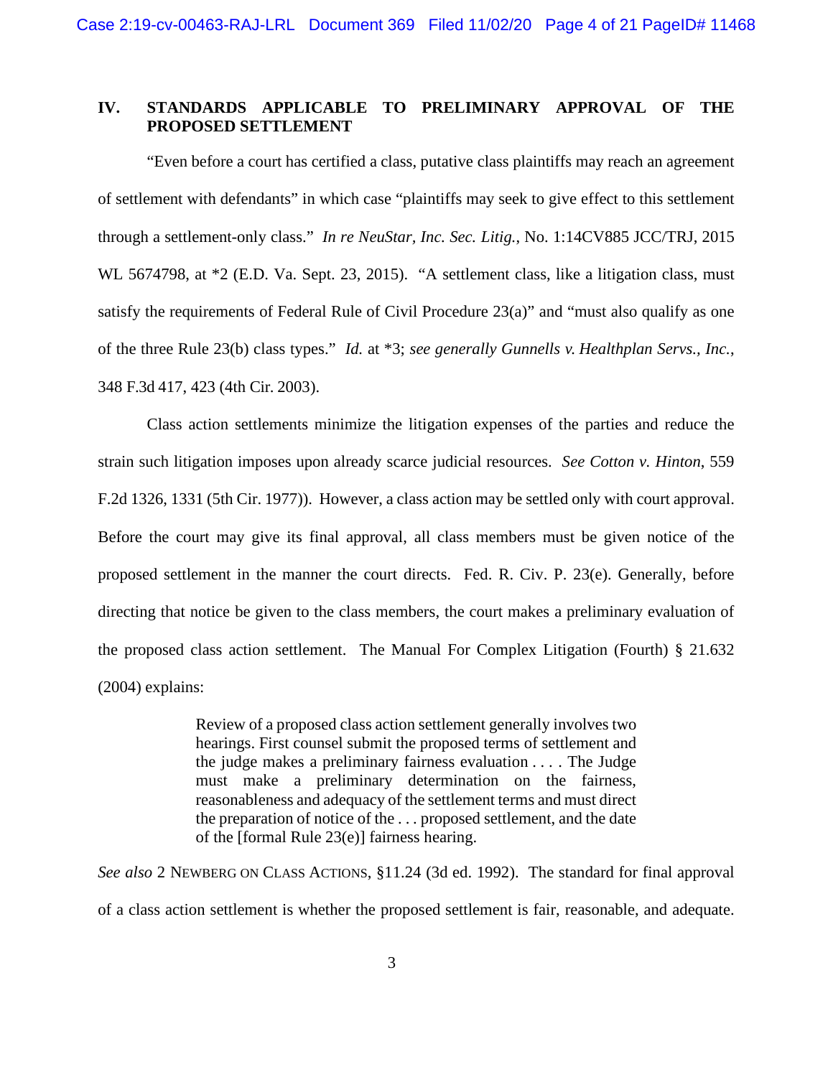# **IV. STANDARDS APPLICABLE TO PRELIMINARY APPROVAL OF THE PROPOSED SETTLEMENT**

"Even before a court has certified a class, putative class plaintiffs may reach an agreement of settlement with defendants" in which case "plaintiffs may seek to give effect to this settlement through a settlement-only class." *In re NeuStar, Inc. Sec. Litig.*, No. 1:14CV885 JCC/TRJ, 2015 WL 5674798, at  $*2$  (E.D. Va. Sept. 23, 2015). "A settlement class, like a litigation class, must satisfy the requirements of Federal Rule of Civil Procedure 23(a)" and "must also qualify as one of the three Rule 23(b) class types." *Id.* at \*3; *see generally Gunnells v. Healthplan Servs., Inc.*, 348 F.3d 417, 423 (4th Cir. 2003).

Class action settlements minimize the litigation expenses of the parties and reduce the strain such litigation imposes upon already scarce judicial resources. *See Cotton v. Hinton*, 559 F.2d 1326, 1331 (5th Cir. 1977)). However, a class action may be settled only with court approval. Before the court may give its final approval, all class members must be given notice of the proposed settlement in the manner the court directs. Fed. R. Civ. P. 23(e). Generally, before directing that notice be given to the class members, the court makes a preliminary evaluation of the proposed class action settlement. The Manual For Complex Litigation (Fourth) § 21.632 (2004) explains:

> Review of a proposed class action settlement generally involves two hearings. First counsel submit the proposed terms of settlement and the judge makes a preliminary fairness evaluation . . . . The Judge must make a preliminary determination on the fairness, reasonableness and adequacy of the settlement terms and must direct the preparation of notice of the . . . proposed settlement, and the date of the [formal Rule 23(e)] fairness hearing.

*See also* 2 NEWBERG ON CLASS ACTIONS, §11.24 (3d ed. 1992). The standard for final approval of a class action settlement is whether the proposed settlement is fair, reasonable, and adequate.

3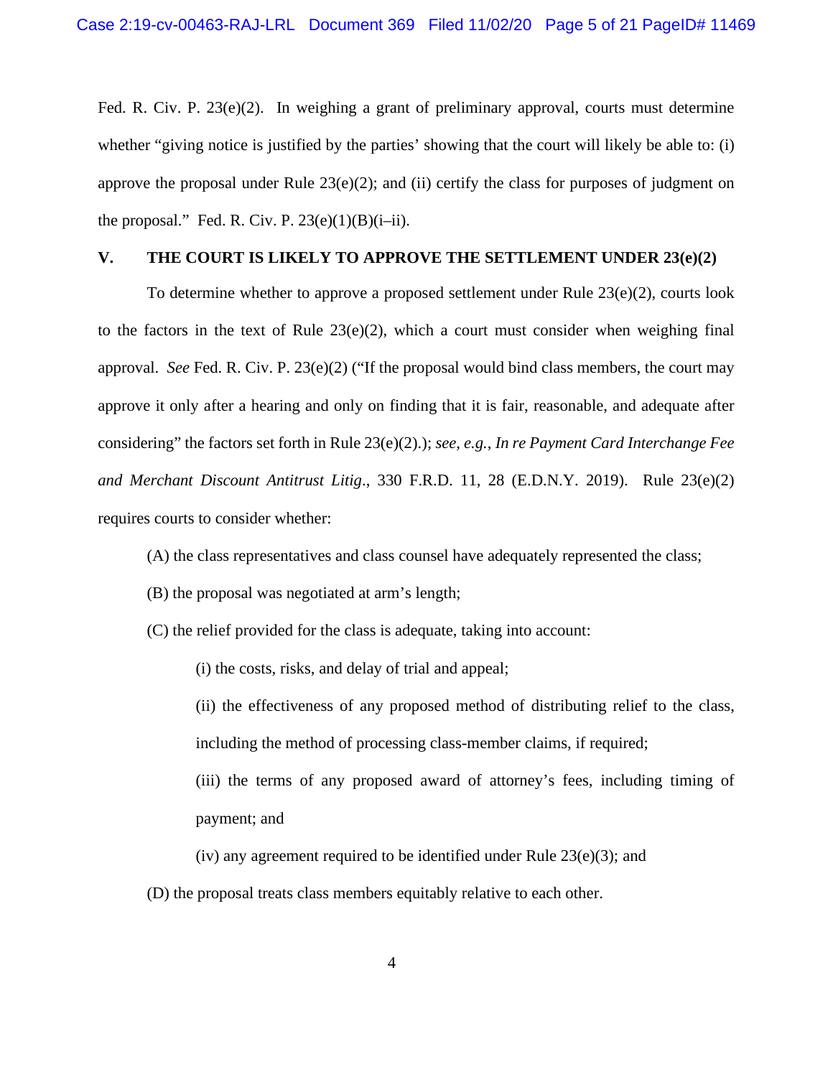Fed. R. Civ. P. 23(e)(2). In weighing a grant of preliminary approval, courts must determine whether "giving notice is justified by the parties' showing that the court will likely be able to: (i) approve the proposal under Rule  $23(e)(2)$ ; and (ii) certify the class for purposes of judgment on the proposal." Fed. R. Civ. P.  $23(e)(1)(B)(i-ii)$ .

# **V. THE COURT IS LIKELY TO APPROVE THE SETTLEMENT UNDER 23(e)(2)**

To determine whether to approve a proposed settlement under Rule 23(e)(2), courts look to the factors in the text of Rule  $23(e)(2)$ , which a court must consider when weighing final approval. *See* Fed. R. Civ. P. 23(e)(2) ("If the proposal would bind class members, the court may approve it only after a hearing and only on finding that it is fair, reasonable, and adequate after considering" the factors set forth in Rule 23(e)(2).); *see, e.g.*, *In re Payment Card Interchange Fee and Merchant Discount Antitrust Litig*., 330 F.R.D. 11, 28 (E.D.N.Y. 2019). Rule 23(e)(2) requires courts to consider whether:

- (A) the class representatives and class counsel have adequately represented the class;
- (B) the proposal was negotiated at arm's length;
- (C) the relief provided for the class is adequate, taking into account:

(i) the costs, risks, and delay of trial and appeal;

- (ii) the effectiveness of any proposed method of distributing relief to the class, including the method of processing class-member claims, if required;
- (iii) the terms of any proposed award of attorney's fees, including timing of payment; and
- (iv) any agreement required to be identified under Rule  $23(e)(3)$ ; and
- (D) the proposal treats class members equitably relative to each other.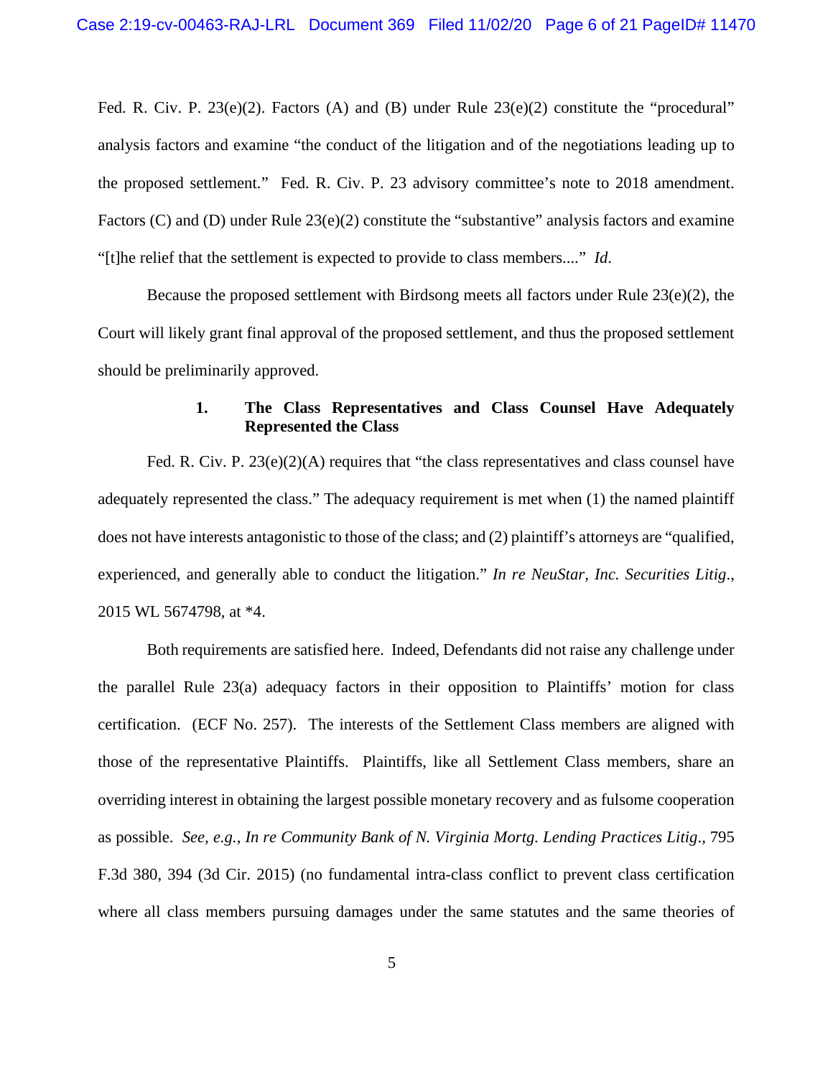Fed. R. Civ. P. 23(e)(2). Factors (A) and (B) under Rule  $23(e)(2)$  constitute the "procedural" analysis factors and examine "the conduct of the litigation and of the negotiations leading up to the proposed settlement." Fed. R. Civ. P. 23 advisory committee's note to 2018 amendment. Factors (C) and (D) under Rule 23(e)(2) constitute the "substantive" analysis factors and examine "[t]he relief that the settlement is expected to provide to class members...." *Id*.

Because the proposed settlement with Birdsong meets all factors under Rule  $23(e)(2)$ , the Court will likely grant final approval of the proposed settlement, and thus the proposed settlement should be preliminarily approved.

# **1. The Class Representatives and Class Counsel Have Adequately Represented the Class**

Fed. R. Civ. P. 23(e)(2)(A) requires that "the class representatives and class counsel have adequately represented the class." The adequacy requirement is met when (1) the named plaintiff does not have interests antagonistic to those of the class; and (2) plaintiff's attorneys are "qualified, experienced, and generally able to conduct the litigation." *In re NeuStar, Inc. Securities Litig*., 2015 WL 5674798, at \*4.

Both requirements are satisfied here. Indeed, Defendants did not raise any challenge under the parallel Rule 23(a) adequacy factors in their opposition to Plaintiffs' motion for class certification. (ECF No. 257). The interests of the Settlement Class members are aligned with those of the representative Plaintiffs. Plaintiffs, like all Settlement Class members, share an overriding interest in obtaining the largest possible monetary recovery and as fulsome cooperation as possible. *See, e.g.*, *In re Community Bank of N. Virginia Mortg. Lending Practices Litig*., 795 F.3d 380, 394 (3d Cir. 2015) (no fundamental intra-class conflict to prevent class certification where all class members pursuing damages under the same statutes and the same theories of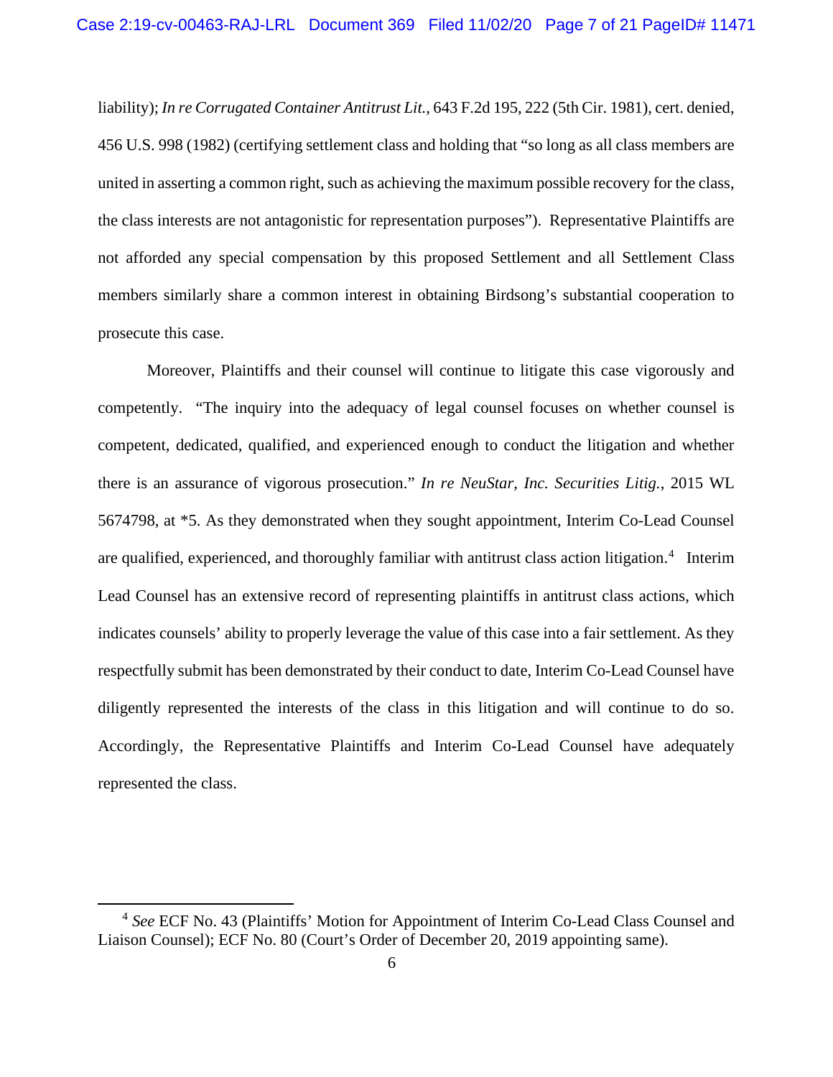liability); *In re Corrugated Container Antitrust Lit.*, 643 F.2d 195, 222 (5th Cir. 1981), cert. denied, 456 U.S. 998 (1982) (certifying settlement class and holding that "so long as all class members are united in asserting a common right, such as achieving the maximum possible recovery for the class, the class interests are not antagonistic for representation purposes"). Representative Plaintiffs are not afforded any special compensation by this proposed Settlement and all Settlement Class members similarly share a common interest in obtaining Birdsong's substantial cooperation to prosecute this case.

Moreover, Plaintiffs and their counsel will continue to litigate this case vigorously and competently. "The inquiry into the adequacy of legal counsel focuses on whether counsel is competent, dedicated, qualified, and experienced enough to conduct the litigation and whether there is an assurance of vigorous prosecution." *In re NeuStar, Inc. Securities Litig.*, 2015 WL 5674798, at \*5. As they demonstrated when they sought appointment, Interim Co-Lead Counsel are qualified, experienced, and thoroughly familiar with antitrust class action litigation.<sup>4</sup> Interim Lead Counsel has an extensive record of representing plaintiffs in antitrust class actions, which indicates counsels' ability to properly leverage the value of this case into a fair settlement. As they respectfully submit has been demonstrated by their conduct to date, Interim Co-Lead Counsel have diligently represented the interests of the class in this litigation and will continue to do so. Accordingly, the Representative Plaintiffs and Interim Co-Lead Counsel have adequately represented the class.

<sup>4</sup> *See* ECF No. 43 (Plaintiffs' Motion for Appointment of Interim Co-Lead Class Counsel and Liaison Counsel); ECF No. 80 (Court's Order of December 20, 2019 appointing same).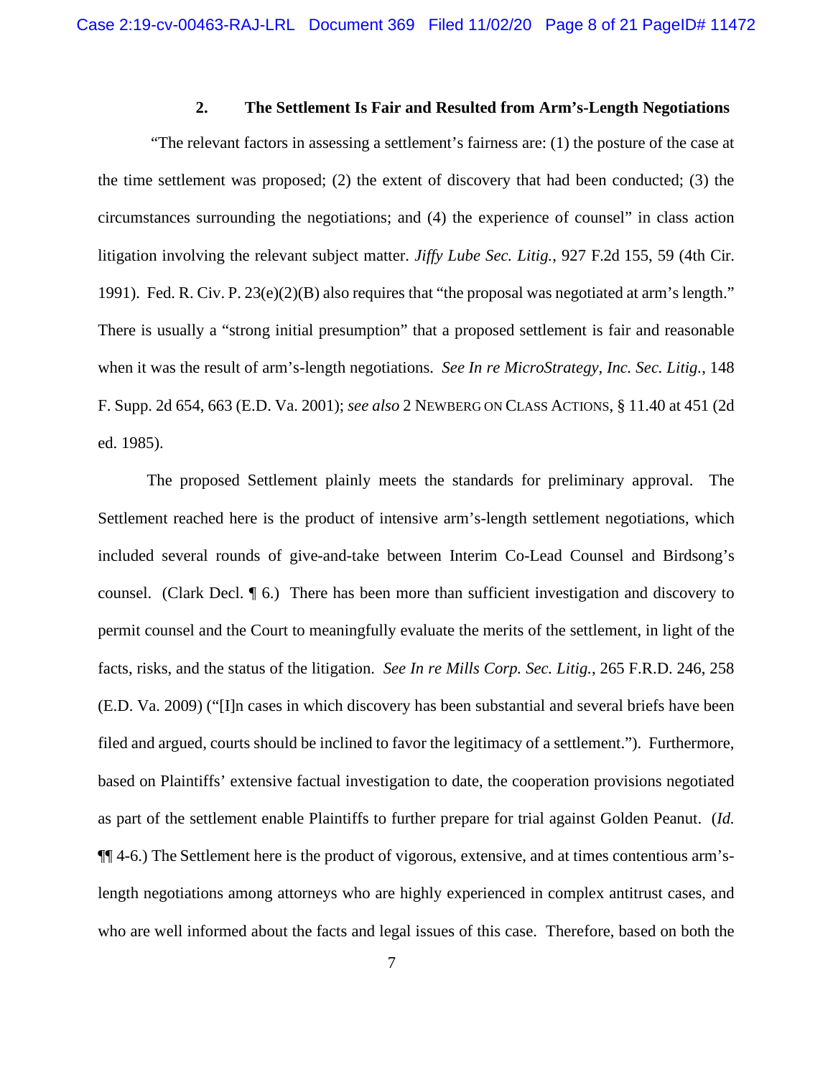## **2. The Settlement Is Fair and Resulted from Arm's-Length Negotiations**

"The relevant factors in assessing a settlement's fairness are: (1) the posture of the case at the time settlement was proposed; (2) the extent of discovery that had been conducted; (3) the circumstances surrounding the negotiations; and (4) the experience of counsel" in class action litigation involving the relevant subject matter. *Jiffy Lube Sec. Litig.*, 927 F.2d 155, 59 (4th Cir. 1991). Fed. R. Civ. P. 23(e)(2)(B) also requires that "the proposal was negotiated at arm's length." There is usually a "strong initial presumption" that a proposed settlement is fair and reasonable when it was the result of arm's-length negotiations. *See In re MicroStrategy, Inc. Sec. Litig.*, 148 F. Supp. 2d 654, 663 (E.D. Va. 2001); *see also* 2 NEWBERG ON CLASS ACTIONS, § 11.40 at 451 (2d ed. 1985).

The proposed Settlement plainly meets the standards for preliminary approval. The Settlement reached here is the product of intensive arm's-length settlement negotiations, which included several rounds of give-and-take between Interim Co-Lead Counsel and Birdsong's counsel. (Clark Decl. ¶ 6.) There has been more than sufficient investigation and discovery to permit counsel and the Court to meaningfully evaluate the merits of the settlement, in light of the facts, risks, and the status of the litigation. *See In re Mills Corp. Sec. Litig.*, 265 F.R.D. 246, 258 (E.D. Va. 2009) ("[I]n cases in which discovery has been substantial and several briefs have been filed and argued, courts should be inclined to favor the legitimacy of a settlement."). Furthermore, based on Plaintiffs' extensive factual investigation to date, the cooperation provisions negotiated as part of the settlement enable Plaintiffs to further prepare for trial against Golden Peanut. (*Id.* ¶¶ 4-6.) The Settlement here is the product of vigorous, extensive, and at times contentious arm'slength negotiations among attorneys who are highly experienced in complex antitrust cases, and who are well informed about the facts and legal issues of this case. Therefore, based on both the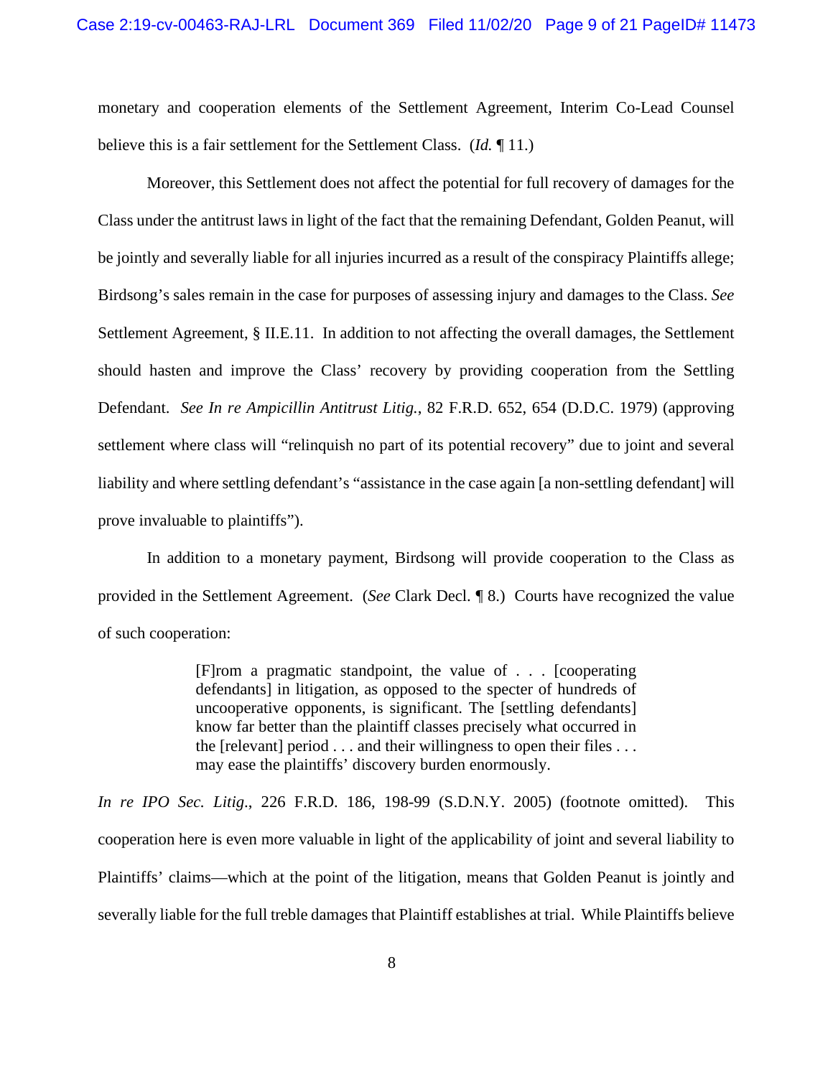monetary and cooperation elements of the Settlement Agreement, Interim Co-Lead Counsel believe this is a fair settlement for the Settlement Class. (*Id.* ¶ 11.)

Moreover, this Settlement does not affect the potential for full recovery of damages for the Class under the antitrust laws in light of the fact that the remaining Defendant, Golden Peanut, will be jointly and severally liable for all injuries incurred as a result of the conspiracy Plaintiffs allege; Birdsong's sales remain in the case for purposes of assessing injury and damages to the Class. *See*  Settlement Agreement, § II.E.11. In addition to not affecting the overall damages, the Settlement should hasten and improve the Class' recovery by providing cooperation from the Settling Defendant. *See In re Ampicillin Antitrust Litig.*, 82 F.R.D. 652, 654 (D.D.C. 1979) (approving settlement where class will "relinquish no part of its potential recovery" due to joint and several liability and where settling defendant's "assistance in the case again [a non-settling defendant] will prove invaluable to plaintiffs").

In addition to a monetary payment, Birdsong will provide cooperation to the Class as provided in the Settlement Agreement. (*See* Clark Decl. ¶ 8.) Courts have recognized the value of such cooperation:

> [F]rom a pragmatic standpoint, the value of . . . [cooperating defendants] in litigation, as opposed to the specter of hundreds of uncooperative opponents, is significant. The [settling defendants] know far better than the plaintiff classes precisely what occurred in the [relevant] period  $\dots$  and their willingness to open their files  $\dots$ may ease the plaintiffs' discovery burden enormously.

*In re IPO Sec. Litig*., 226 F.R.D. 186, 198-99 (S.D.N.Y. 2005) (footnote omitted). This cooperation here is even more valuable in light of the applicability of joint and several liability to Plaintiffs' claims—which at the point of the litigation, means that Golden Peanut is jointly and severally liable for the full treble damages that Plaintiff establishes at trial. While Plaintiffs believe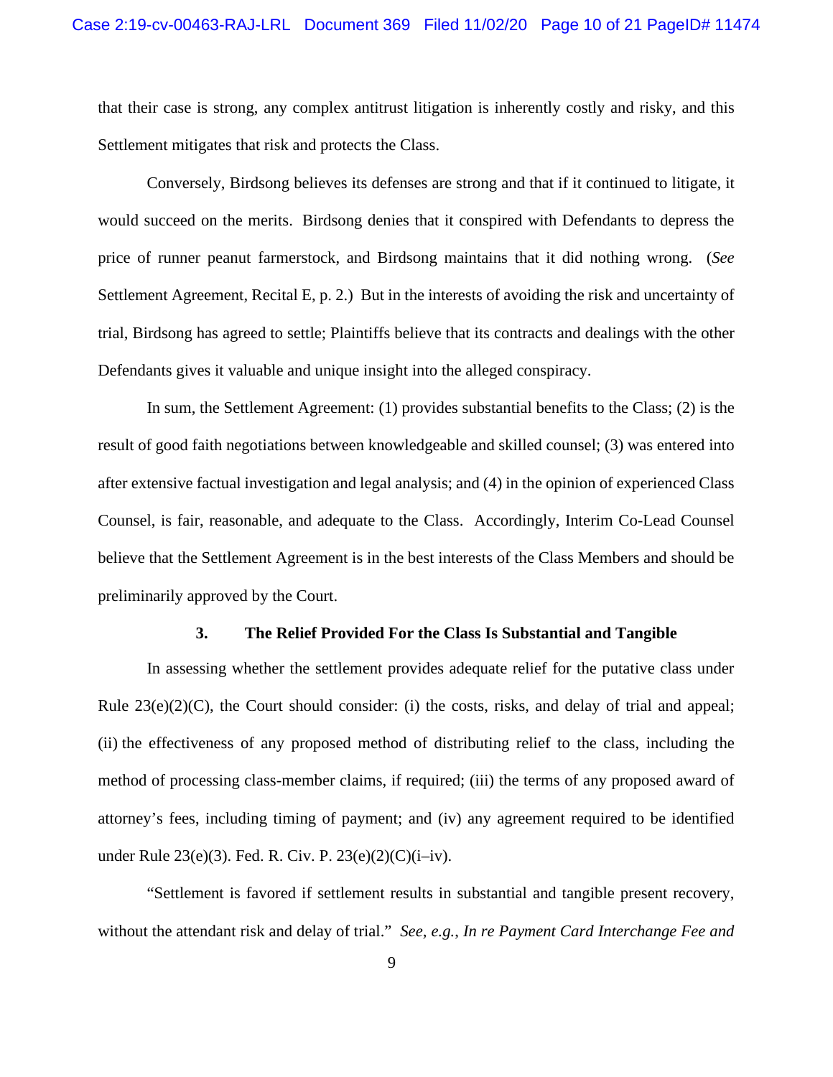that their case is strong, any complex antitrust litigation is inherently costly and risky, and this Settlement mitigates that risk and protects the Class.

Conversely, Birdsong believes its defenses are strong and that if it continued to litigate, it would succeed on the merits. Birdsong denies that it conspired with Defendants to depress the price of runner peanut farmerstock, and Birdsong maintains that it did nothing wrong. (*See*  Settlement Agreement, Recital E, p. 2.) But in the interests of avoiding the risk and uncertainty of trial, Birdsong has agreed to settle; Plaintiffs believe that its contracts and dealings with the other Defendants gives it valuable and unique insight into the alleged conspiracy.

In sum, the Settlement Agreement: (1) provides substantial benefits to the Class; (2) is the result of good faith negotiations between knowledgeable and skilled counsel; (3) was entered into after extensive factual investigation and legal analysis; and (4) in the opinion of experienced Class Counsel, is fair, reasonable, and adequate to the Class. Accordingly, Interim Co-Lead Counsel believe that the Settlement Agreement is in the best interests of the Class Members and should be preliminarily approved by the Court.

#### **3. The Relief Provided For the Class Is Substantial and Tangible**

In assessing whether the settlement provides adequate relief for the putative class under Rule  $23(e)(2)(C)$ , the Court should consider: (i) the costs, risks, and delay of trial and appeal; (ii) the effectiveness of any proposed method of distributing relief to the class, including the method of processing class-member claims, if required; (iii) the terms of any proposed award of attorney's fees, including timing of payment; and (iv) any agreement required to be identified under Rule 23(e)(3). Fed. R. Civ. P. 23(e)(2)(C)(i–iv).

"Settlement is favored if settlement results in substantial and tangible present recovery, without the attendant risk and delay of trial." *See, e.g.*, *In re Payment Card Interchange Fee and*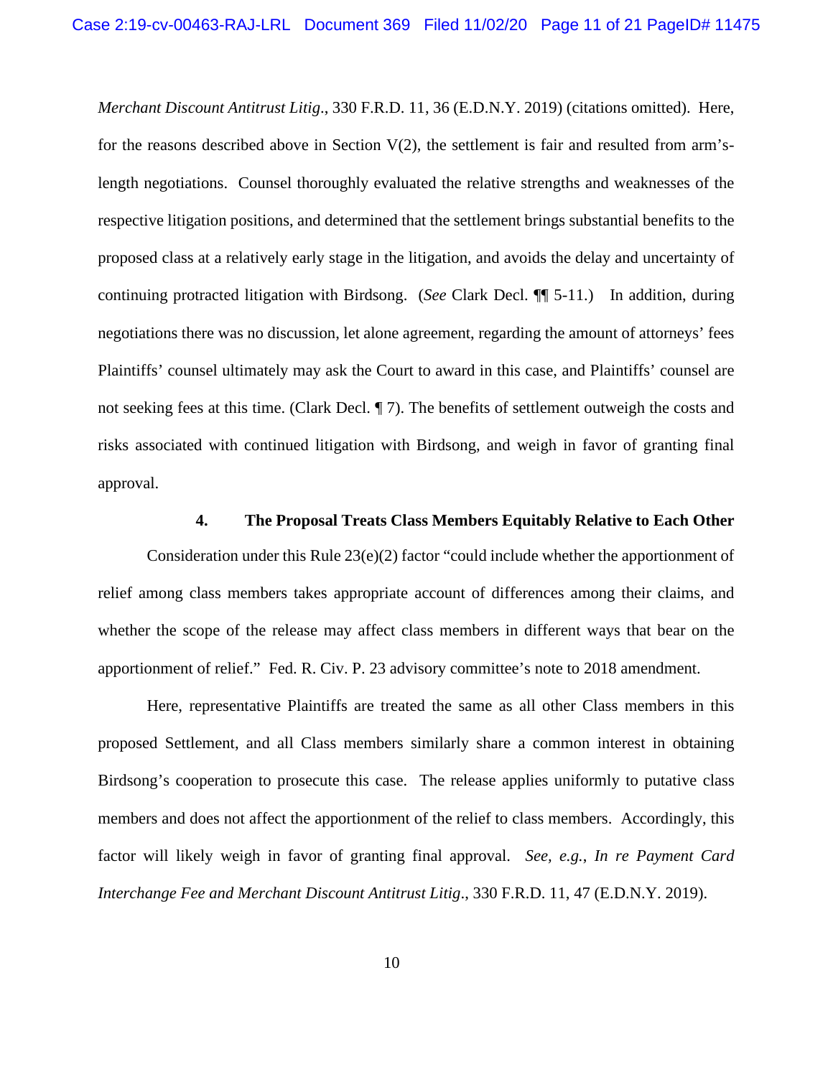*Merchant Discount Antitrust Litig*., 330 F.R.D. 11, 36 (E.D.N.Y. 2019) (citations omitted). Here, for the reasons described above in Section  $V(2)$ , the settlement is fair and resulted from arm'slength negotiations. Counsel thoroughly evaluated the relative strengths and weaknesses of the respective litigation positions, and determined that the settlement brings substantial benefits to the proposed class at a relatively early stage in the litigation, and avoids the delay and uncertainty of continuing protracted litigation with Birdsong. (*See* Clark Decl. ¶¶ 5-11.) In addition, during negotiations there was no discussion, let alone agreement, regarding the amount of attorneys' fees Plaintiffs' counsel ultimately may ask the Court to award in this case, and Plaintiffs' counsel are not seeking fees at this time. (Clark Decl. ¶ 7). The benefits of settlement outweigh the costs and risks associated with continued litigation with Birdsong, and weigh in favor of granting final approval.

#### **4. The Proposal Treats Class Members Equitably Relative to Each Other**

Consideration under this Rule 23(e)(2) factor "could include whether the apportionment of relief among class members takes appropriate account of differences among their claims, and whether the scope of the release may affect class members in different ways that bear on the apportionment of relief." Fed. R. Civ. P. 23 advisory committee's note to 2018 amendment.

Here, representative Plaintiffs are treated the same as all other Class members in this proposed Settlement, and all Class members similarly share a common interest in obtaining Birdsong's cooperation to prosecute this case. The release applies uniformly to putative class members and does not affect the apportionment of the relief to class members. Accordingly, this factor will likely weigh in favor of granting final approval. *See, e.g.*, *In re Payment Card Interchange Fee and Merchant Discount Antitrust Litig*., 330 F.R.D. 11, 47 (E.D.N.Y. 2019).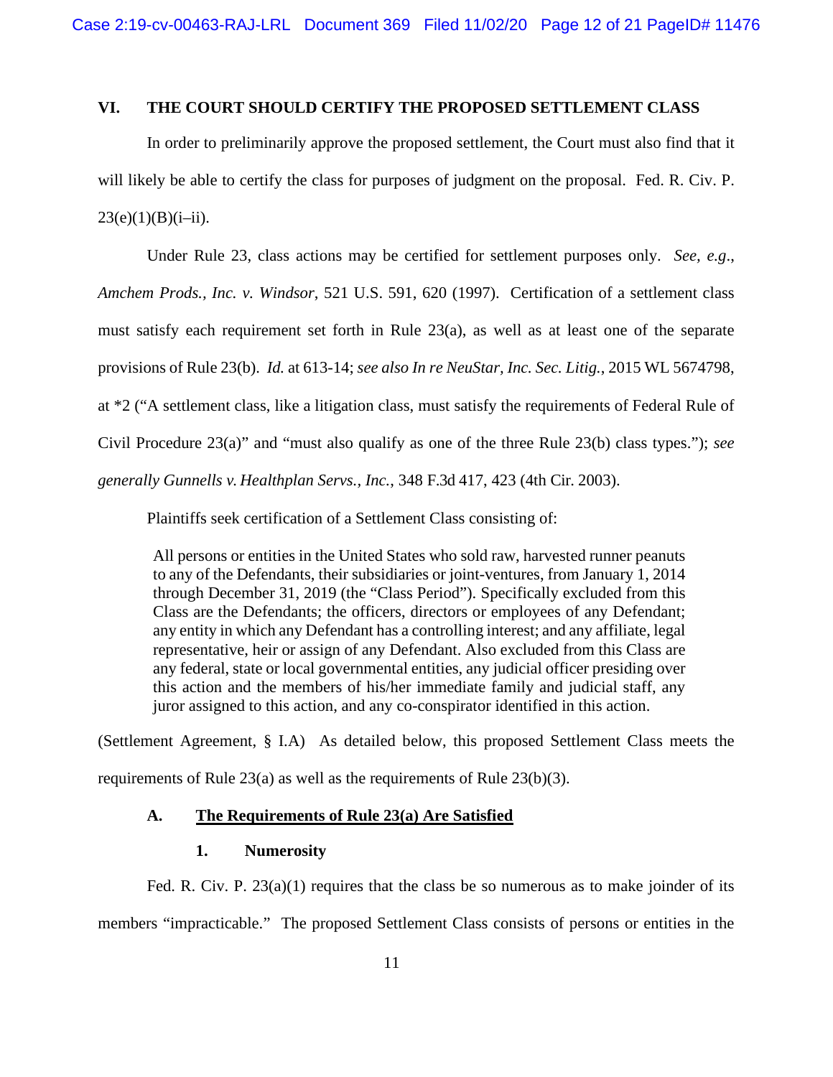## **VI. THE COURT SHOULD CERTIFY THE PROPOSED SETTLEMENT CLASS**

In order to preliminarily approve the proposed settlement, the Court must also find that it will likely be able to certify the class for purposes of judgment on the proposal. Fed. R. Civ. P.  $23(e)(1)(B)(i-ii)$ .

Under Rule 23, class actions may be certified for settlement purposes only. *See, e.g*., *Amchem Prods., Inc. v. Windsor*, 521 U.S. 591, 620 (1997). Certification of a settlement class must satisfy each requirement set forth in Rule 23(a), as well as at least one of the separate provisions of Rule 23(b). *Id.* at 613-14; *see also In re NeuStar, Inc. Sec. Litig.*, 2015 WL 5674798, at \*2 ("A settlement class, like a litigation class, must satisfy the requirements of Federal Rule of Civil Procedure 23(a)" and "must also qualify as one of the three Rule 23(b) class types."); *see generally Gunnells v. Healthplan Servs., Inc.*, 348 F.3d 417, 423 (4th Cir. 2003).

Plaintiffs seek certification of a Settlement Class consisting of:

All persons or entities in the United States who sold raw, harvested runner peanuts to any of the Defendants, their subsidiaries or joint-ventures, from January 1, 2014 through December 31, 2019 (the "Class Period"). Specifically excluded from this Class are the Defendants; the officers, directors or employees of any Defendant; any entity in which any Defendant has a controlling interest; and any affiliate, legal representative, heir or assign of any Defendant. Also excluded from this Class are any federal, state or local governmental entities, any judicial officer presiding over this action and the members of his/her immediate family and judicial staff, any juror assigned to this action, and any co-conspirator identified in this action.

(Settlement Agreement, § I.A) As detailed below, this proposed Settlement Class meets the requirements of Rule 23(a) as well as the requirements of Rule 23(b)(3).

## **A. The Requirements of Rule 23(a) Are Satisfied**

#### **1. Numerosity**

Fed. R. Civ. P.  $23(a)(1)$  requires that the class be so numerous as to make joinder of its members "impracticable." The proposed Settlement Class consists of persons or entities in the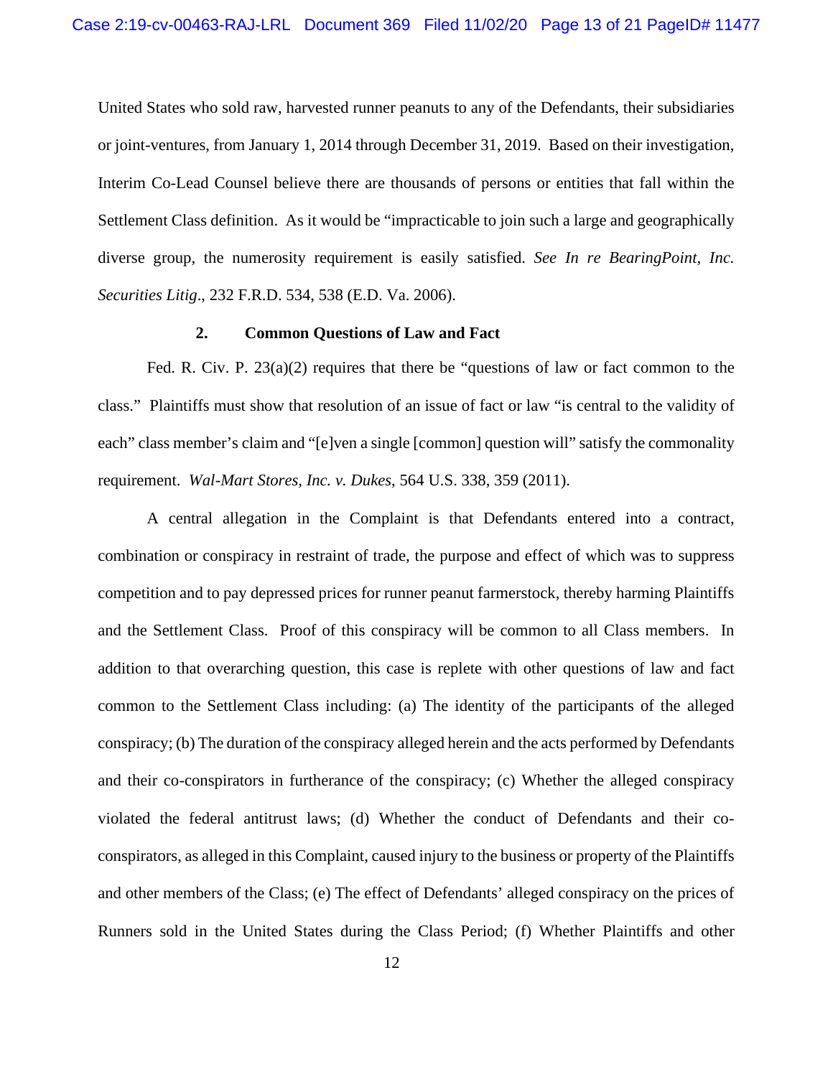United States who sold raw, harvested runner peanuts to any of the Defendants, their subsidiaries or joint-ventures, from January 1, 2014 through December 31, 2019. Based on their investigation, Interim Co-Lead Counsel believe there are thousands of persons or entities that fall within the Settlement Class definition. As it would be "impracticable to join such a large and geographically diverse group, the numerosity requirement is easily satisfied. *See In re BearingPoint, Inc. Securities Litig*., 232 F.R.D. 534, 538 (E.D. Va. 2006).

## **2. Common Questions of Law and Fact**

Fed. R. Civ. P. 23(a)(2) requires that there be "questions of law or fact common to the class." Plaintiffs must show that resolution of an issue of fact or law "is central to the validity of each" class member's claim and "[e]ven a single [common] question will" satisfy the commonality requirement. *Wal-Mart Stores, Inc. v. Dukes*, 564 U.S. 338, 359 (2011).

A central allegation in the Complaint is that Defendants entered into a contract, combination or conspiracy in restraint of trade, the purpose and effect of which was to suppress competition and to pay depressed prices for runner peanut farmerstock, thereby harming Plaintiffs and the Settlement Class. Proof of this conspiracy will be common to all Class members. In addition to that overarching question, this case is replete with other questions of law and fact common to the Settlement Class including: (a) The identity of the participants of the alleged conspiracy; (b) The duration of the conspiracy alleged herein and the acts performed by Defendants and their co-conspirators in furtherance of the conspiracy; (c) Whether the alleged conspiracy violated the federal antitrust laws; (d) Whether the conduct of Defendants and their coconspirators, as alleged in this Complaint, caused injury to the business or property of the Plaintiffs and other members of the Class; (e) The effect of Defendants' alleged conspiracy on the prices of Runners sold in the United States during the Class Period; (f) Whether Plaintiffs and other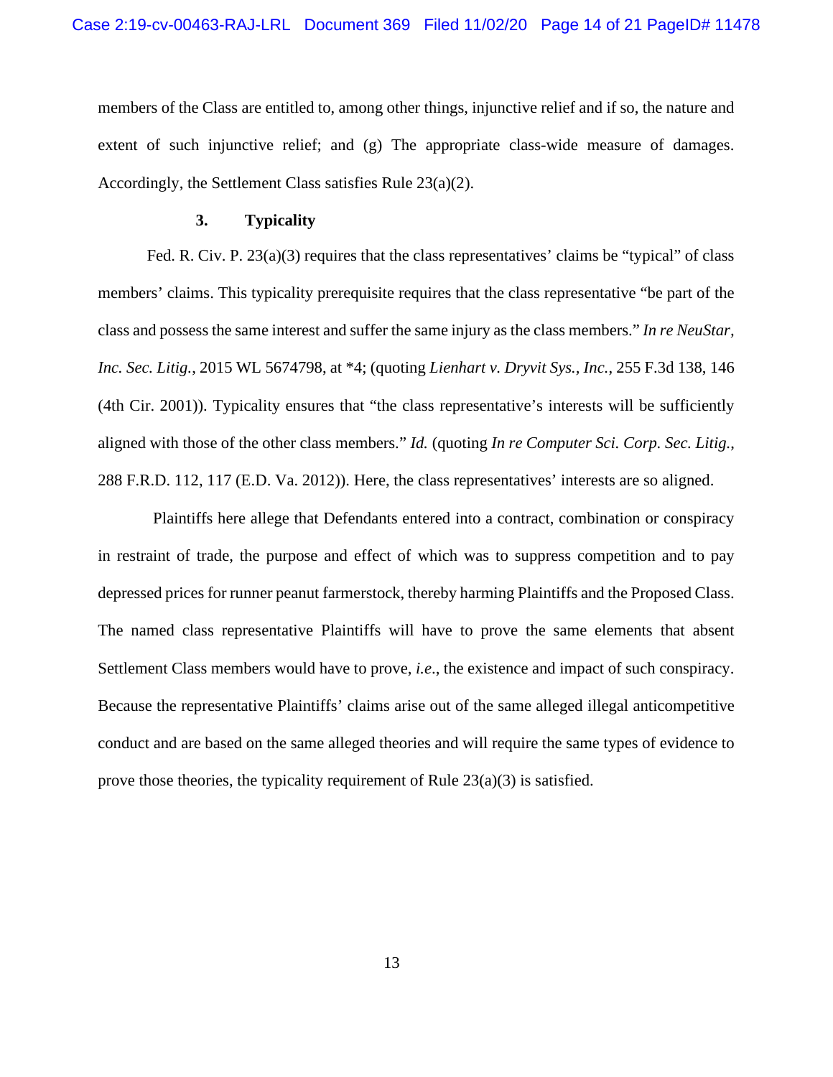members of the Class are entitled to, among other things, injunctive relief and if so, the nature and extent of such injunctive relief; and (g) The appropriate class-wide measure of damages. Accordingly, the Settlement Class satisfies Rule 23(a)(2).

#### **3. Typicality**

Fed. R. Civ. P. 23(a)(3) requires that the class representatives' claims be "typical" of class members' claims. This typicality prerequisite requires that the class representative "be part of the class and possess the same interest and suffer the same injury as the class members." *In re NeuStar, Inc. Sec. Litig.*, 2015 WL 5674798, at \*4; (quoting *Lienhart v. Dryvit Sys., Inc.*, 255 F.3d 138, 146 (4th Cir. 2001)). Typicality ensures that "the class representative's interests will be sufficiently aligned with those of the other class members." *Id.* (quoting *In re Computer Sci. Corp. Sec. Litig.*, 288 F.R.D. 112, 117 (E.D. Va. 2012)). Here, the class representatives' interests are so aligned.

Plaintiffs here allege that Defendants entered into a contract, combination or conspiracy in restraint of trade, the purpose and effect of which was to suppress competition and to pay depressed prices for runner peanut farmerstock, thereby harming Plaintiffs and the Proposed Class. The named class representative Plaintiffs will have to prove the same elements that absent Settlement Class members would have to prove, *i.e*., the existence and impact of such conspiracy. Because the representative Plaintiffs' claims arise out of the same alleged illegal anticompetitive conduct and are based on the same alleged theories and will require the same types of evidence to prove those theories, the typicality requirement of Rule  $23(a)(3)$  is satisfied.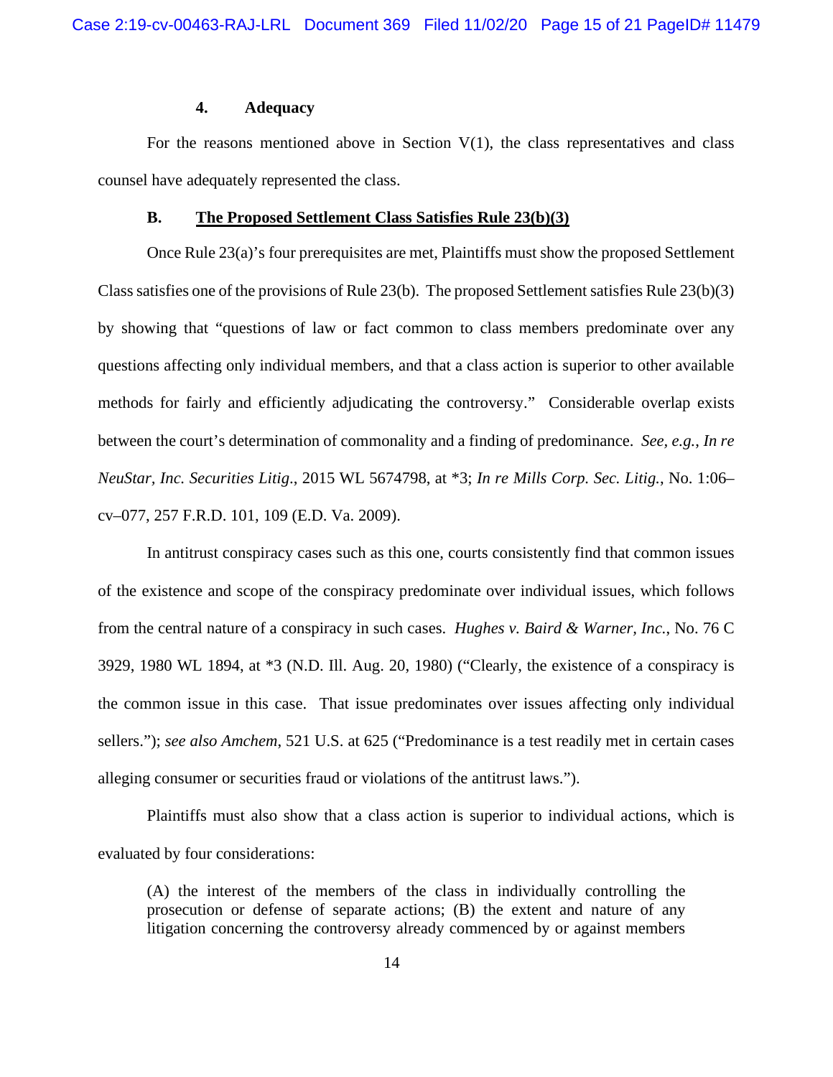## **4. Adequacy**

For the reasons mentioned above in Section  $V(1)$ , the class representatives and class counsel have adequately represented the class.

#### **B. The Proposed Settlement Class Satisfies Rule 23(b)(3)**

Once Rule 23(a)'s four prerequisites are met, Plaintiffs must show the proposed Settlement Class satisfies one of the provisions of Rule 23(b). The proposed Settlement satisfies Rule 23(b)(3) by showing that "questions of law or fact common to class members predominate over any questions affecting only individual members, and that a class action is superior to other available methods for fairly and efficiently adjudicating the controversy." Considerable overlap exists between the court's determination of commonality and a finding of predominance. *See, e.g.*, *In re NeuStar, Inc. Securities Litig*., 2015 WL 5674798, at \*3; *In re Mills Corp. Sec. Litig.*, No. 1:06– cv–077, 257 F.R.D. 101, 109 (E.D. Va. 2009).

In antitrust conspiracy cases such as this one, courts consistently find that common issues of the existence and scope of the conspiracy predominate over individual issues, which follows from the central nature of a conspiracy in such cases. *Hughes v. Baird & Warner, Inc.*, No. 76 C 3929, 1980 WL 1894, at \*3 (N.D. Ill. Aug. 20, 1980) ("Clearly, the existence of a conspiracy is the common issue in this case. That issue predominates over issues affecting only individual sellers."); *see also Amchem*, 521 U.S. at 625 ("Predominance is a test readily met in certain cases alleging consumer or securities fraud or violations of the antitrust laws.").

Plaintiffs must also show that a class action is superior to individual actions, which is evaluated by four considerations:

(A) the interest of the members of the class in individually controlling the prosecution or defense of separate actions; (B) the extent and nature of any litigation concerning the controversy already commenced by or against members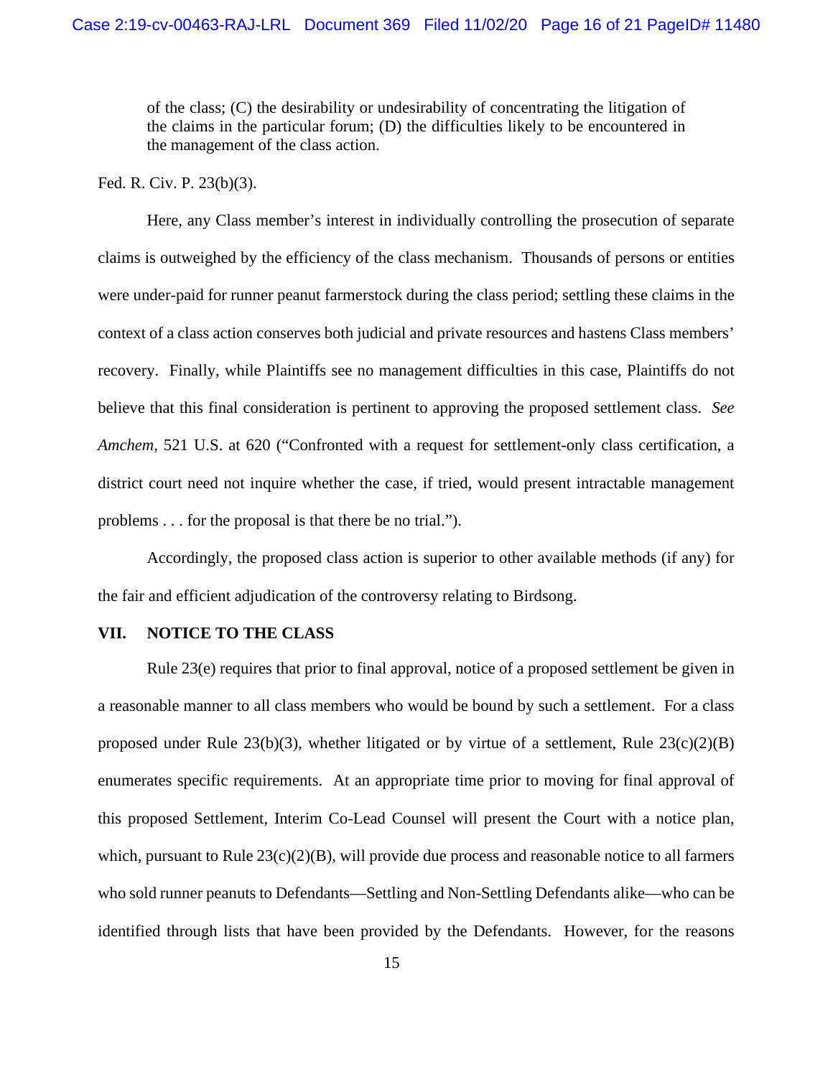of the class; (C) the desirability or undesirability of concentrating the litigation of the claims in the particular forum; (D) the difficulties likely to be encountered in the management of the class action.

## Fed. R. Civ. P. 23(b)(3).

Here, any Class member's interest in individually controlling the prosecution of separate claims is outweighed by the efficiency of the class mechanism. Thousands of persons or entities were under-paid for runner peanut farmerstock during the class period; settling these claims in the context of a class action conserves both judicial and private resources and hastens Class members' recovery. Finally, while Plaintiffs see no management difficulties in this case, Plaintiffs do not believe that this final consideration is pertinent to approving the proposed settlement class. *See Amchem*, 521 U.S. at 620 ("Confronted with a request for settlement-only class certification, a district court need not inquire whether the case, if tried, would present intractable management problems . . . for the proposal is that there be no trial.").

Accordingly, the proposed class action is superior to other available methods (if any) for the fair and efficient adjudication of the controversy relating to Birdsong.

#### **VII. NOTICE TO THE CLASS**

Rule 23(e) requires that prior to final approval, notice of a proposed settlement be given in a reasonable manner to all class members who would be bound by such a settlement. For a class proposed under Rule  $23(b)(3)$ , whether litigated or by virtue of a settlement, Rule  $23(c)(2)(B)$ enumerates specific requirements. At an appropriate time prior to moving for final approval of this proposed Settlement, Interim Co-Lead Counsel will present the Court with a notice plan, which, pursuant to Rule 23(c)(2)(B), will provide due process and reasonable notice to all farmers who sold runner peanuts to Defendants—Settling and Non-Settling Defendants alike—who can be identified through lists that have been provided by the Defendants. However, for the reasons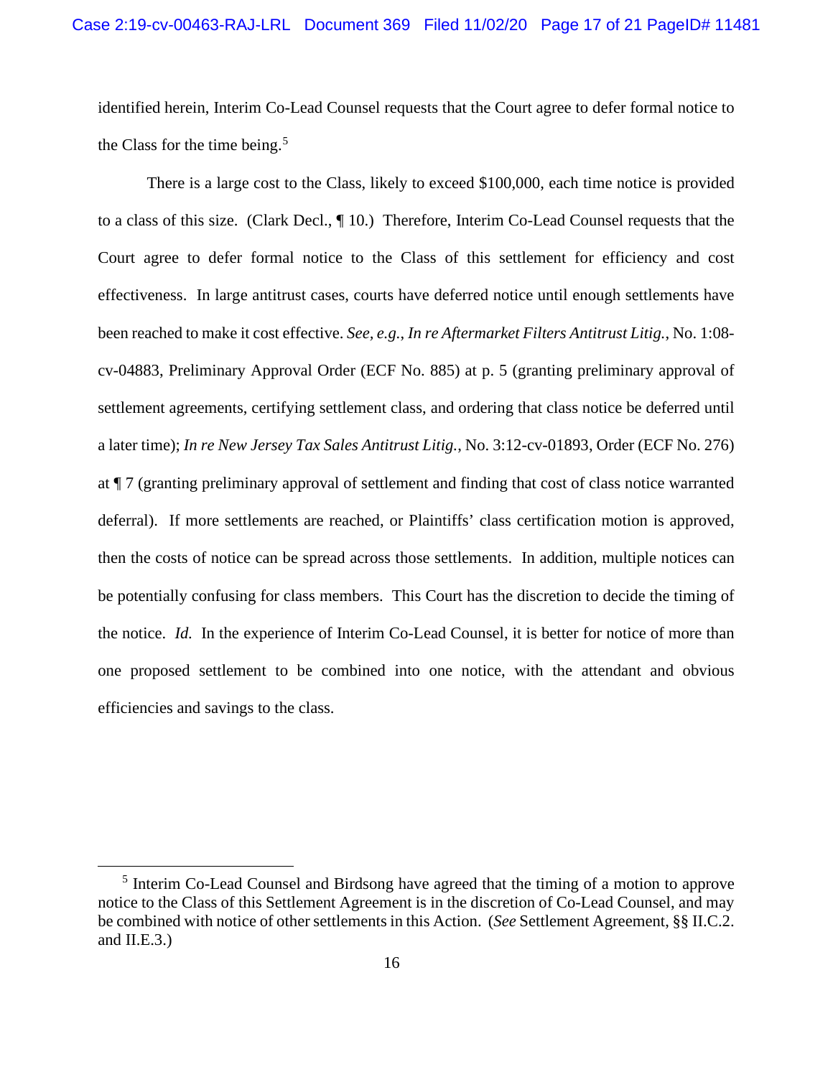identified herein, Interim Co-Lead Counsel requests that the Court agree to defer formal notice to the Class for the time being. $5$ 

There is a large cost to the Class, likely to exceed \$100,000, each time notice is provided to a class of this size. (Clark Decl., ¶ 10.) Therefore, Interim Co-Lead Counsel requests that the Court agree to defer formal notice to the Class of this settlement for efficiency and cost effectiveness. In large antitrust cases, courts have deferred notice until enough settlements have been reached to make it cost effective. *See, e.g.*, *In re Aftermarket Filters Antitrust Litig.*, No. 1:08 cv-04883, Preliminary Approval Order (ECF No. 885) at p. 5 (granting preliminary approval of settlement agreements, certifying settlement class, and ordering that class notice be deferred until a later time); *In re New Jersey Tax Sales Antitrust Litig.*, No. 3:12-cv-01893, Order (ECF No. 276) at ¶ 7 (granting preliminary approval of settlement and finding that cost of class notice warranted deferral). If more settlements are reached, or Plaintiffs' class certification motion is approved, then the costs of notice can be spread across those settlements. In addition, multiple notices can be potentially confusing for class members. This Court has the discretion to decide the timing of the notice. *Id.* In the experience of Interim Co-Lead Counsel, it is better for notice of more than one proposed settlement to be combined into one notice, with the attendant and obvious efficiencies and savings to the class.

<sup>5</sup> Interim Co-Lead Counsel and Birdsong have agreed that the timing of a motion to approve notice to the Class of this Settlement Agreement is in the discretion of Co-Lead Counsel, and may be combined with notice of other settlements in this Action. (*See* Settlement Agreement, §§ II.C.2. and  $II.E.3.$ )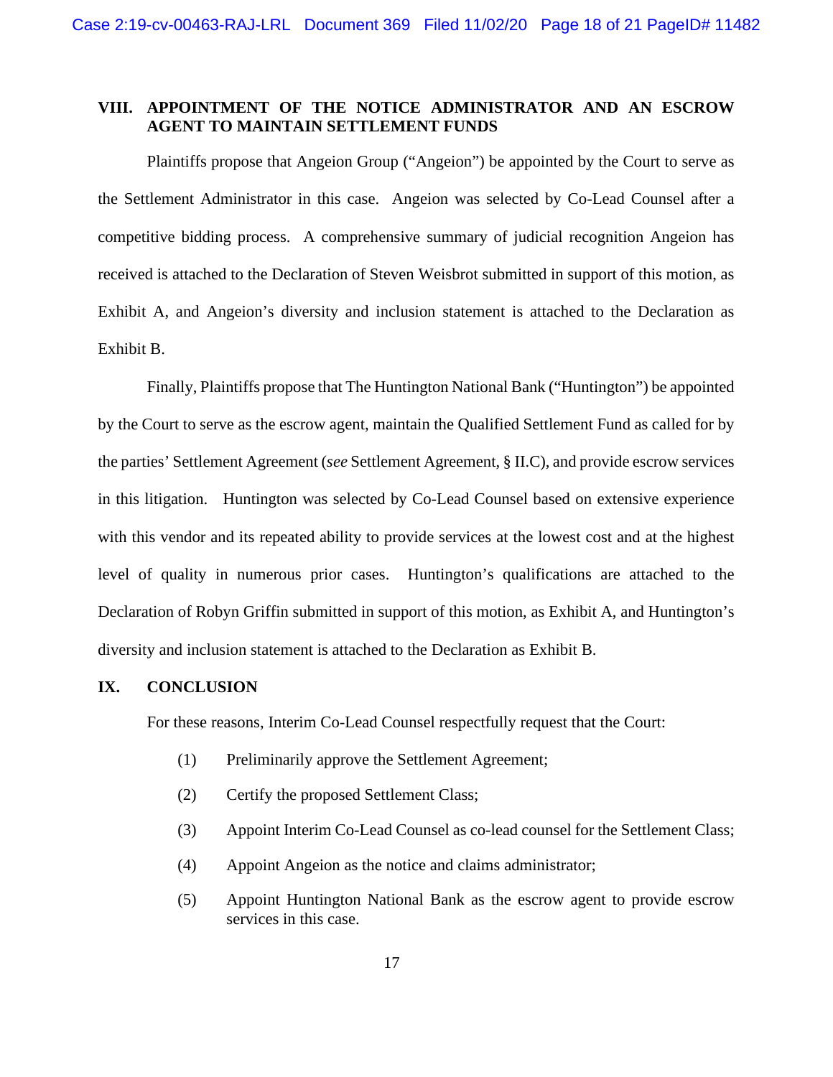# **VIII. APPOINTMENT OF THE NOTICE ADMINISTRATOR AND AN ESCROW AGENT TO MAINTAIN SETTLEMENT FUNDS**

Plaintiffs propose that Angeion Group ("Angeion") be appointed by the Court to serve as the Settlement Administrator in this case. Angeion was selected by Co-Lead Counsel after a competitive bidding process. A comprehensive summary of judicial recognition Angeion has received is attached to the Declaration of Steven Weisbrot submitted in support of this motion, as Exhibit A, and Angeion's diversity and inclusion statement is attached to the Declaration as Exhibit B.

Finally, Plaintiffs propose that The Huntington National Bank ("Huntington") be appointed by the Court to serve as the escrow agent, maintain the Qualified Settlement Fund as called for by the parties' Settlement Agreement (*see* Settlement Agreement, § II.C), and provide escrow services in this litigation. Huntington was selected by Co-Lead Counsel based on extensive experience with this vendor and its repeated ability to provide services at the lowest cost and at the highest level of quality in numerous prior cases. Huntington's qualifications are attached to the Declaration of Robyn Griffin submitted in support of this motion, as Exhibit A, and Huntington's diversity and inclusion statement is attached to the Declaration as Exhibit B.

### **IX. CONCLUSION**

For these reasons, Interim Co-Lead Counsel respectfully request that the Court:

- (1) Preliminarily approve the Settlement Agreement;
- (2) Certify the proposed Settlement Class;
- (3) Appoint Interim Co-Lead Counsel as co-lead counsel for the Settlement Class;
- (4) Appoint Angeion as the notice and claims administrator;
- (5) Appoint Huntington National Bank as the escrow agent to provide escrow services in this case.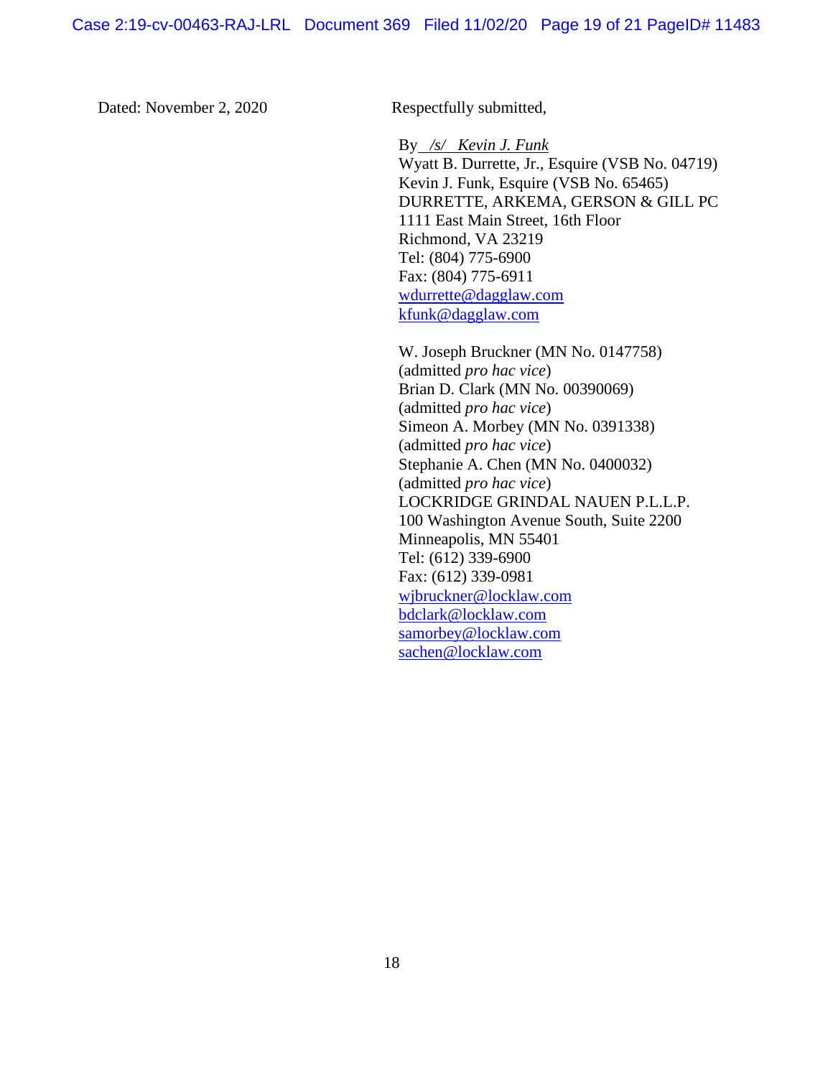Dated: November 2, 2020 Respectfully submitted,

By */s/ Kevin J. Funk* Wyatt B. Durrette, Jr., Esquire (VSB No. 04719) Kevin J. Funk, Esquire (VSB No. 65465) DURRETTE, ARKEMA, GERSON & GILL PC 1111 East Main Street, 16th Floor Richmond, VA 23219 Tel: (804) 775-6900 Fax: (804) 775-6911 wdurrette@dagglaw.com kfunk@dagglaw.com

W. Joseph Bruckner (MN No. 0147758) (admitted *pro hac vice*) Brian D. Clark (MN No. 00390069) (admitted *pro hac vice*) Simeon A. Morbey (MN No. 0391338) (admitted *pro hac vice*) Stephanie A. Chen (MN No. 0400032) (admitted *pro hac vice*) LOCKRIDGE GRINDAL NAUEN P.L.L.P. 100 Washington Avenue South, Suite 2200 Minneapolis, MN 55401 Tel: (612) 339-6900 Fax: (612) 339-0981 wjbruckner@locklaw.com bdclark@locklaw.com samorbey@locklaw.com sachen@locklaw.com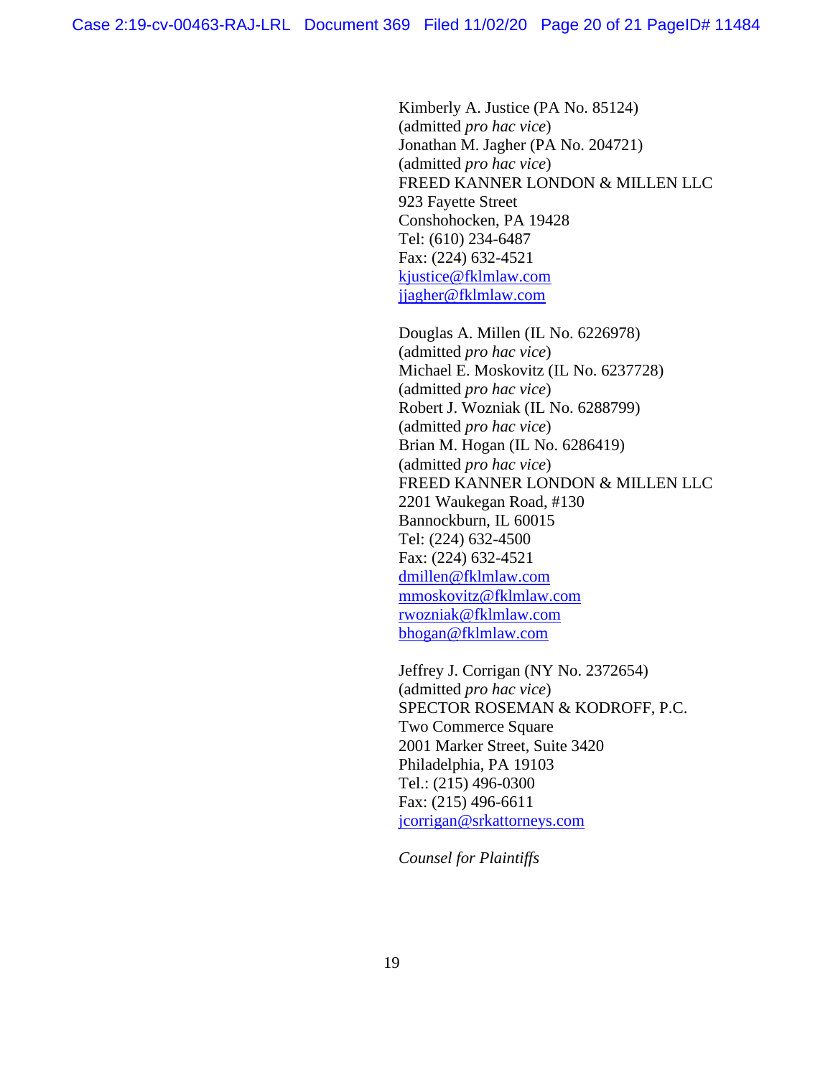Kimberly A. Justice (PA No. 85124) (admitted *pro hac vice*) Jonathan M. Jagher (PA No. 204721) (admitted *pro hac vice*) FREED KANNER LONDON & MILLEN LLC 923 Fayette Street Conshohocken, PA 19428 Tel: (610) 234-6487 Fax: (224) 632-4521 kjustice@fklmlaw.com jjagher@fklmlaw.com

Douglas A. Millen (IL No. 6226978) (admitted *pro hac vice*) Michael E. Moskovitz (IL No. 6237728) (admitted *pro hac vice*) Robert J. Wozniak (IL No. 6288799) (admitted *pro hac vice*) Brian M. Hogan (IL No. 6286419) (admitted *pro hac vice*) FREED KANNER LONDON & MILLEN LLC 2201 Waukegan Road, #130 Bannockburn, IL 60015 Tel: (224) 632-4500 Fax: (224) 632-4521 dmillen@fklmlaw.com mmoskovitz@fklmlaw.com rwozniak@fklmlaw.com bhogan@fklmlaw.com

Jeffrey J. Corrigan (NY No. 2372654) (admitted *pro hac vice*) SPECTOR ROSEMAN & KODROFF, P.C. Two Commerce Square 2001 Marker Street, Suite 3420 Philadelphia, PA 19103 Tel.: (215) 496-0300 Fax: (215) 496-6611 jcorrigan@srkattorneys.com

*Counsel for Plaintiffs*